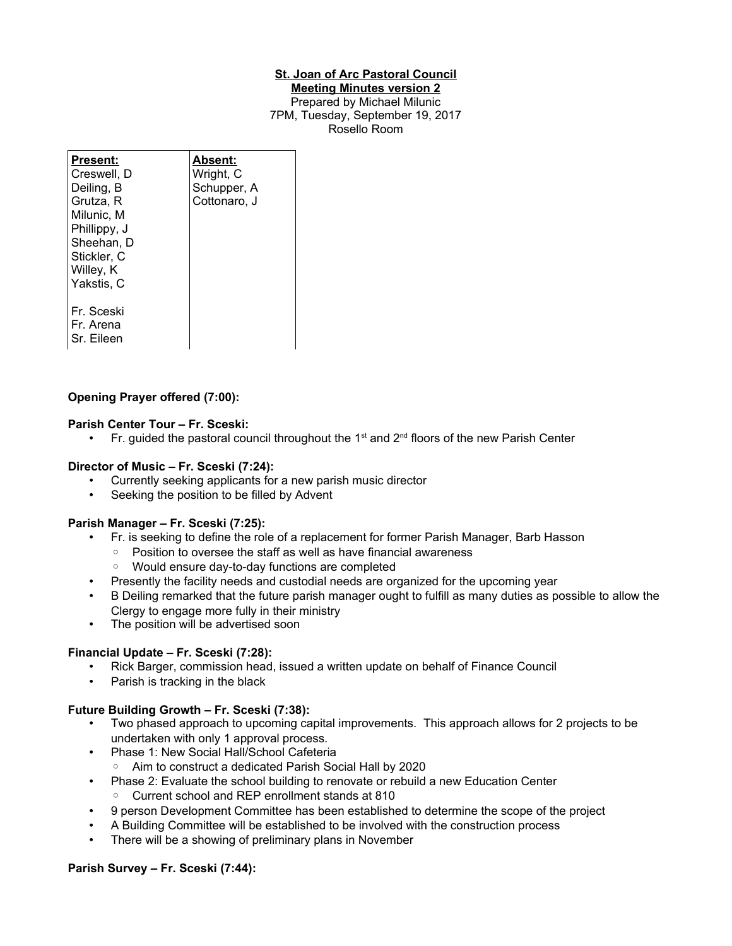## **St. Joan of Arc Pastoral Council**

#### **Meeting Minutes version 2** Prepared by Michael Milunic 7PM, Tuesday, September 19, 2017 Rosello Room

| Present:<br>Creswell, D<br>Deiling, B<br>Grutza, R<br>Milunic, M<br>Phillippy, J<br>Sheehan, D<br>Stickler, C<br>Willey, K | Absent:<br>Wright, C<br>Schupper, A<br>Cottonaro, J |
|----------------------------------------------------------------------------------------------------------------------------|-----------------------------------------------------|
| Yakstis, C<br>Fr. Sceski<br>Fr. Arena<br>Sr. Eileen                                                                        |                                                     |

# **Opening Prayer offered (7:00):**

## **Parish Center Tour – Fr. Sceski:**

• Fr. guided the pastoral council throughout the 1<sup>st</sup> and  $2^{nd}$  floors of the new Parish Center

## **Director of Music – Fr. Sceski (7:24):**

- Currently seeking applicants for a new parish music director
- Seeking the position to be filled by Advent

## **Parish Manager – Fr. Sceski (7:25):**

- Fr. is seeking to define the role of a replacement for former Parish Manager, Barb Hasson
	- Position to oversee the staff as well as have financial awareness
	- Would ensure day-to-day functions are completed
- Presently the facility needs and custodial needs are organized for the upcoming year
- B Deiling remarked that the future parish manager ought to fulfill as many duties as possible to allow the Clergy to engage more fully in their ministry
- The position will be advertised soon

## **Financial Update – Fr. Sceski (7:28):**

- Rick Barger, commission head, issued a written update on behalf of Finance Council
- Parish is tracking in the black

## **Future Building Growth – Fr. Sceski (7:38):**

- Two phased approach to upcoming capital improvements. This approach allows for 2 projects to be undertaken with only 1 approval process.
- Phase 1: New Social Hall/School Cafeteria
	- Aim to construct a dedicated Parish Social Hall by 2020
- Phase 2: Evaluate the school building to renovate or rebuild a new Education Center
	- Current school and REP enrollment stands at 810
- 9 person Development Committee has been established to determine the scope of the project
- A Building Committee will be established to be involved with the construction process
- There will be a showing of preliminary plans in November

### **Parish Survey – Fr. Sceski (7:44):**